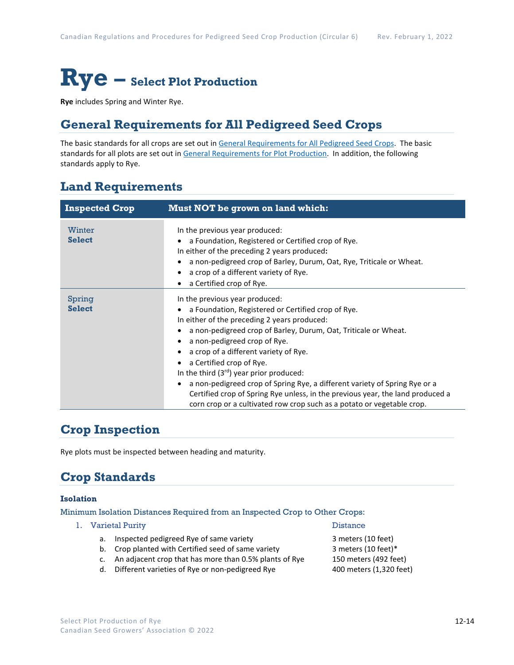# **Rye – Select Plot Production**

**Rye** includes Spring and Winter Rye.

## **General Requirements for All Pedigreed Seed Crops**

The basic standards for all crops are set out i[n General Requirements for All Pedigreed Seed](https://seedgrowers.ca/wp-content/uploads/2020/01/GENERAL-REQUIREMENTS-ALL-CROPS_EN.pdf) Crops. The basic standards for all plots are set out i[n General Requirements for Plot Production.](https://seedgrowers.ca/wp-content/uploads/2020/01/GENERAL-REQUIREMENTS-PLOTS_EN.pdf) In addition, the following standards apply to Rye.

# **Land Requirements**

| <b>Inspected Crop</b>   | Must NOT be grown on land which:                                                                                                                                                                                                                                                                                                                                                                                                                                                                                                                                                                    |
|-------------------------|-----------------------------------------------------------------------------------------------------------------------------------------------------------------------------------------------------------------------------------------------------------------------------------------------------------------------------------------------------------------------------------------------------------------------------------------------------------------------------------------------------------------------------------------------------------------------------------------------------|
| Winter<br><b>Select</b> | In the previous year produced:<br>a Foundation, Registered or Certified crop of Rye.<br>In either of the preceding 2 years produced:<br>a non-pedigreed crop of Barley, Durum, Oat, Rye, Triticale or Wheat.<br>a crop of a different variety of Rye.<br>a Certified crop of Rye.                                                                                                                                                                                                                                                                                                                   |
| Spring<br><b>Select</b> | In the previous year produced:<br>a Foundation, Registered or Certified crop of Rye.<br>In either of the preceding 2 years produced:<br>a non-pedigreed crop of Barley, Durum, Oat, Triticale or Wheat.<br>a non-pedigreed crop of Rye.<br>a crop of a different variety of Rye.<br>a Certified crop of Rye.<br>In the third $(3rd)$ year prior produced:<br>a non-pedigreed crop of Spring Rye, a different variety of Spring Rye or a<br>Certified crop of Spring Rye unless, in the previous year, the land produced a<br>corn crop or a cultivated row crop such as a potato or vegetable crop. |

# **Crop Inspection**

Rye plots must be inspected between heading and maturity.

# **Crop Standards**

### **Isolation**

Minimum Isolation Distances Required from an Inspected Crop to Other Crops:

- 1. Varietal Purity **Distance** 
	- a. Inspected pedigreed Rye of same variety **3** meters (10 feet)
	- b. Crop planted with Certified seed of same variety 3 meters (10 feet)\*
	- c. An adjacent crop that has more than 0.5% plants of Rye 150 meters (492 feet)
	- d. Different varieties of Rye or non-pedigreed Rye 400 meters (1,320 feet)